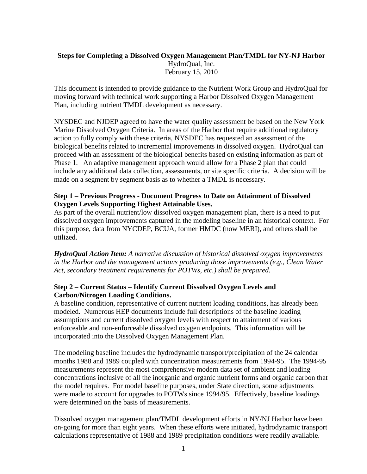#### **Steps for Completing a Dissolved Oxygen Management Plan/TMDL for NY-NJ Harbor** HydroQual, Inc. February 15, 2010

This document is intended to provide guidance to the Nutrient Work Group and HydroQual for moving forward with technical work supporting a Harbor Dissolved Oxygen Management Plan, including nutrient TMDL development as necessary.

NYSDEC and NJDEP agreed to have the water quality assessment be based on the New York Marine Dissolved Oxygen Criteria. In areas of the Harbor that require additional regulatory action to fully comply with these criteria, NYSDEC has requested an assessment of the biological benefits related to incremental improvements in dissolved oxygen. HydroQual can proceed with an assessment of the biological benefits based on existing information as part of Phase 1. An adaptive management approach would allow for a Phase 2 plan that could include any additional data collection, assessments, or site specific criteria. A decision will be made on a segment by segment basis as to whether a TMDL is necessary.

# **Step 1 – Previous Progress - Document Progress to Date on Attainment of Dissolved Oxygen Levels Supporting Highest Attainable Uses.**

As part of the overall nutrient/low dissolved oxygen management plan, there is a need to put dissolved oxygen improvements captured in the modeling baseline in an historical context. For this purpose, data from NYCDEP, BCUA, former HMDC (now MERI), and others shall be utilized.

*HydroQual Action Item: A narrative discussion of historical dissolved oxygen improvements in the Harbor and the management actions producing those improvements (e.g., Clean Water Act, secondary treatment requirements for POTWs, etc.) shall be prepared.*

# **Step 2 – Current Status – Identify Current Dissolved Oxygen Levels and Carbon/Nitrogen Loading Conditions.**

A baseline condition, representative of current nutrient loading conditions, has already been modeled. Numerous HEP documents include full descriptions of the baseline loading assumptions and current dissolved oxygen levels with respect to attainment of various enforceable and non-enforceable dissolved oxygen endpoints. This information will be incorporated into the Dissolved Oxygen Management Plan.

The modeling baseline includes the hydrodynamic transport/precipitation of the 24 calendar months 1988 and 1989 coupled with concentration measurements from 1994-95. The 1994-95 measurements represent the most comprehensive modern data set of ambient and loading concentrations inclusive of all the inorganic and organic nutrient forms and organic carbon that the model requires. For model baseline purposes, under State direction, some adjustments were made to account for upgrades to POTWs since 1994/95. Effectively, baseline loadings were determined on the basis of measurements.

Dissolved oxygen management plan/TMDL development efforts in NY/NJ Harbor have been on-going for more than eight years. When these efforts were initiated, hydrodynamic transport calculations representative of 1988 and 1989 precipitation conditions were readily available.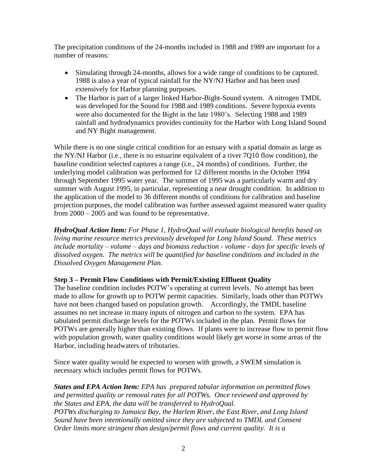The precipitation conditions of the 24-months included in 1988 and 1989 are important for a number of reasons:

- Simulating through 24-months, allows for a wide range of conditions to be captured. 1988 is also a year of typical rainfall for the NY/NJ Harbor and has been used extensively for Harbor planning purposes.
- The Harbor is part of a larger linked Harbor-Bight-Sound system. A nitrogen TMDL was developed for the Sound for 1988 and 1989 conditions. Severe hypoxia events were also documented for the Bight in the late 1980's. Selecting 1988 and 1989 rainfall and hydrodynamics provides continuity for the Harbor with Long Island Sound and NY Bight management.

While there is no one single critical condition for an estuary with a spatial domain as large as the NY/NJ Harbor (i.e., there is no estuarine equivalent of a river 7Q10 flow condition), the baseline condition selected captures a range (i.e., 24 months) of conditions. Further, the underlying model calibration was performed for 12 different months in the October 1994 through September 1995 water year. The summer of 1995 was a particularly warm and dry summer with August 1995, in particular, representing a near drought condition. In addition to the application of the model to 36 different months of conditions for calibration and baseline projection purposes, the model calibration was further assessed against measured water quality from 2000 – 2005 and was found to be representative.

*HydroQual Action Item: For Phase 1, HydroQual will evaluate biological benefits based on living marine resource metrics previously developed for Long Island Sound. These metrics include mortality – volume – days and biomass reduction - volume - days for specific levels of dissolved oxygen. The metrics will be quantified for baseline conditions and included in the Dissolved Oxygen Management Plan.*

# **Step 3 – Permit Flow Conditions with Permit/Existing Effluent Quality**

The baseline condition includes POTW's operating at current levels. No attempt has been made to allow for growth up to POTW permit capacities. Similarly, loads other than POTWs have not been changed based on population growth. Accordingly, the TMDL baseline assumes no net increase in many inputs of nitrogen and carbon to the system. EPA has tabulated permit discharge levels for the POTWs included in the plan. Permit flows for POTWs are generally higher than existing flows. If plants were to increase flow to permit flow with population growth, water quality conditions would likely get worse in some areas of the Harbor, including headwaters of tributaries.

Since water quality would be expected to worsen with growth, a SWEM simulation is necessary which includes permit flows for POTWs.

*States and EPA Action Item: EPA has prepared tabular information on permitted flows and permitted quality or removal rates for all POTWs. Once reviewed and approved by the States and EPA, the data will be transferred to HydroQual. POTWs discharging to Jamaica Bay, the Harlem River, the East River, and Long Island Sound have been intentionally omitted since they are subjected to TMDL and Consent Order limits more stringent than design/permit flows and current quality. It is a*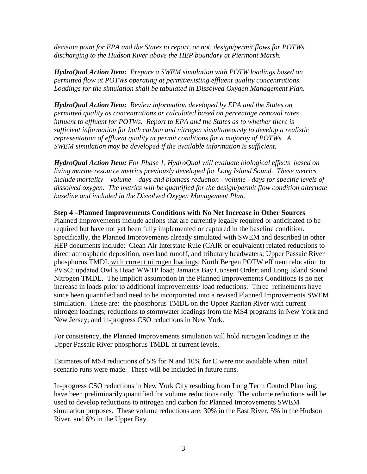*decision point for EPA and the States to report, or not, design/permit flows for POTWs discharging to the Hudson River above the HEP boundary at Piermont Marsh.* 

*HydroQual Action Item: Prepare a SWEM simulation with POTW loadings based on permitted flow at POTWs operating at permit/existing effluent quality concentrations. Loadings for the simulation shall be tabulated in Dissolved Oxygen Management Plan.*

*HydroQual Action Item: Review information developed by EPA and the States on permitted quality as concentrations or calculated based on percentage removal rates influent to effluent for POTWs. Report to EPA and the States as to whether there is sufficient information for both carbon and nitrogen simultaneously to develop a realistic representation of effluent quality at permit conditions for a majority of POTWs. A SWEM simulation may be developed if the available information is sufficient.*

*HydroQual Action Item: For Phase 1, HydroQual will evaluate biological effects based on living marine resource metrics previously developed for Long Island Sound. These metrics include mortality – volume – days and biomass reduction - volume - days for specific levels of dissolved oxygen. The metrics will be quantified for the design/permit flow condition alternate baseline and included in the Dissolved Oxygen Management Plan.*

#### **Step 4 –Planned Improvements Conditions with No Net Increase in Other Sources**

Planned Improvements include actions that are currently legally required or anticipated to be required but have not yet been fully implemented or captured in the baseline condition. Specifically, the Planned Improvements already simulated with SWEM and described in other HEP documents include: Clean Air Interstate Rule (CAIR or equivalent) related reductions to direct atmospheric deposition, overland runoff, and tributary headwaters; Upper Passaic River phosphorus TMDL with current nitrogen loadings; North Bergen POTW effluent relocation to PVSC; updated Owl's Head WWTP load; Jamaica Bay Consent Order; and Long Island Sound Nitrogen TMDL. The implicit assumption in the Planned Improvements Conditions is no net increase in loads prior to additional improvements/ load reductions. Three refinements have since been quantified and need to be incorporated into a revised Planned Improvements SWEM simulation. These are: the phosphorus TMDL on the Upper Raritan River with current nitrogen loadings; reductions to stormwater loadings from the MS4 programs in New York and New Jersey; and in-progress CSO reductions in New York.

For consistency, the Planned Improvements simulation will hold nitrogen loadings in the Upper Passaic River phosphorus TMDL at current levels.

Estimates of MS4 reductions of 5% for N and 10% for C were not available when initial scenario runs were made. These will be included in future runs.

In-progress CSO reductions in New York City resulting from Long Term Control Planning, have been preliminarily quantified for volume reductions only. The volume reductions will be used to develop reductions to nitrogen and carbon for Planned Improvements SWEM simulation purposes. These volume reductions are: 30% in the East River, 5% in the Hudson River, and 6% in the Upper Bay.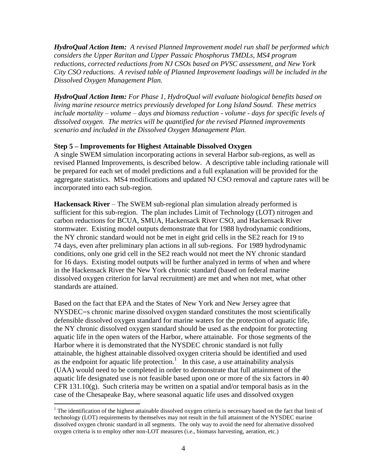*HydroQual Action Item: A revised Planned Improvement model run shall be performed which considers the Upper Raritan and Upper Passaic Phosphorus TMDLs, MS4 program reductions, corrected reductions from NJ CSOs based on PVSC assessment, and New York City CSO reductions. A revised table of Planned Improvement loadings will be included in the Dissolved Oxygen Management Plan.*

*HydroQual Action Item: For Phase 1, HydroQual will evaluate biological benefits based on living marine resource metrics previously developed for Long Island Sound. These metrics include mortality – volume – days and biomass reduction - volume - days for specific levels of dissolved oxygen. The metrics will be quantified for the revised Planned improvements scenario and included in the Dissolved Oxygen Management Plan.*

# **Step 5 – Improvements for Highest Attainable Dissolved Oxygen**

A single SWEM simulation incorporating actions in several Harbor sub-regions, as well as revised Planned Improvements, is described below. A descriptive table including rationale will be prepared for each set of model predictions and a full explanation will be provided for the aggregate statistics. MS4 modifications and updated NJ CSO removal and capture rates will be incorporated into each sub-region.

**Hackensack River** – The SWEM sub-regional plan simulation already performed is sufficient for this sub-region. The plan includes Limit of Technology (LOT) nitrogen and carbon reductions for BCUA, SMUA, Hackensack River CSO, and Hackensack River stormwater. Existing model outputs demonstrate that for 1988 hydrodynamic conditions, the NY chronic standard would not be met in eight grid cells in the SE2 reach for 19 to 74 days, even after preliminary plan actions in all sub-regions. For 1989 hydrodynamic conditions, only one grid cell in the SE2 reach would not meet the NY chronic standard for 16 days. Existing model outputs will be further analyzed in terms of when and where in the Hackensack River the New York chronic standard (based on federal marine dissolved oxygen criterion for larval recruitment) are met and when not met, what other standards are attained.

Based on the fact that EPA and the States of New York and New Jersey agree that NYSDEC=s chronic marine dissolved oxygen standard constitutes the most scientifically defensible dissolved oxygen standard for marine waters for the protection of aquatic life, the NY chronic dissolved oxygen standard should be used as the endpoint for protecting aquatic life in the open waters of the Harbor, where attainable. For those segments of the Harbor where it is demonstrated that the NYSDEC chronic standard is not fully attainable, the highest attainable dissolved oxygen criteria should be identified and used as the endpoint for aquatic life protection.<sup>1</sup> In this case, a use attainability analysis (UAA) would need to be completed in order to demonstrate that full attainment of the aquatic life designated use is not feasible based upon one or more of the six factors in 40 CFR 131.10 $(g)$ . Such criteria may be written on a spatial and/or temporal basis as in the case of the Chesapeake Bay, where seasonal aquatic life uses and dissolved oxygen

 $\overline{a}$ 

<sup>&</sup>lt;sup>1</sup> The identification of the highest attainable dissolved oxygen criteria is necessary based on the fact that limit of technology (LOT) requirements by themselves may not result in the full attainment of the NYSDEC marine dissolved oxygen chronic standard in all segments. The only way to avoid the need for alternative dissolved oxygen criteria is to employ other non-LOT measures (i.e., biomass harvesting, aeration, etc.)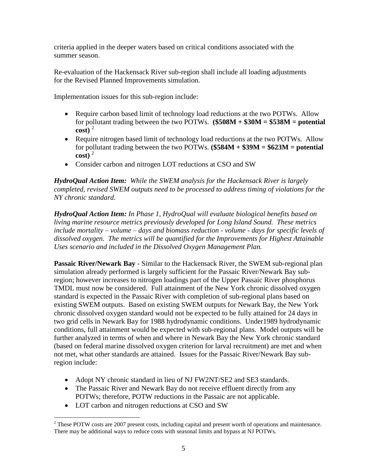criteria applied in the deeper waters based on critical conditions associated with the summer season.

Re-evaluation of the Hackensack River sub-region shall include all loading adjustments for the Revised Planned Improvements simulation.

Implementation issues for this sub-region include:

- Require carbon based limit of technology load reductions at the two POTWs. Allow for pollutant trading between the two POTWs.  $(\$508M + \$30M = \$538M =$  potential **cost)** 2
- Require nitrogen based limit of technology load reductions at the two POTWs. Allow for pollutant trading between the two POTWs. **(\$584M + \$39M = \$623M = potential**   $\cosh^2$
- Consider carbon and nitrogen LOT reductions at CSO and SW

*HydroQual Action Item: While the SWEM analysis for the Hackensack River is largely completed, revised SWEM outputs need to be processed to address timing of violations for the NY chronic standard.*

*HydroQual Action Item: In Phase 1, HydroQual will evaluate biological benefits based on living marine resource metrics previously developed for Long Island Sound. These metrics include mortality – volume – days and biomass reduction - volume - days for specific levels of dissolved oxygen. The metrics will be quantified for the Improvements for Highest Attainable Uses scenario and included in the Dissolved Oxygen Management Plan.*

**Passaic River/Newark Bay** - Similar to the Hackensack River, the SWEM sub-regional plan simulation already performed is largely sufficient for the Passaic River/Newark Bay subregion; however increases to nitrogen loadings part of the Upper Passaic River phosphorus TMDL must now be considered. Full attainment of the New York chronic dissolved oxygen standard is expected in the Passaic River with completion of sub-regional plans based on existing SWEM outputs. Based on existing SWEM outputs for Newark Bay, the New York chronic dissolved oxygen standard would not be expected to be fully attained for 24 days in two grid cells in Newark Bay for 1988 hydrodynamic conditions. Under1989 hydrodynamic conditions, full attainment would be expected with sub-regional plans. Model outputs will be further analyzed in terms of when and where in Newark Bay the New York chronic standard (based on federal marine dissolved oxygen criterion for larval recruitment) are met and when not met, what other standards are attained. Issues for the Passaic River/Newark Bay subregion include:

- Adopt NY chronic standard in lieu of NJ FW2NT/SE2 and SE3 standards.
- The Passaic River and Newark Bay do not receive effluent directly from any POTWs; therefore, POTW reductions in the Passaic are not applicable.
- LOT carbon and nitrogen reductions at CSO and SW

 $\overline{a}$ <sup>2</sup> These POTW costs are 2007 present costs, including capital and present worth of operations and maintenance. There may be additional ways to reduce costs with seasonal limits and bypass at NJ POTWs.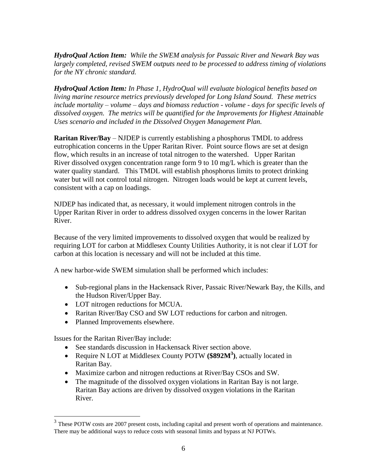*HydroQual Action Item: While the SWEM analysis for Passaic River and Newark Bay was largely completed, revised SWEM outputs need to be processed to address timing of violations for the NY chronic standard.*

*HydroQual Action Item: In Phase 1, HydroQual will evaluate biological benefits based on living marine resource metrics previously developed for Long Island Sound. These metrics include mortality – volume – days and biomass reduction - volume - days for specific levels of dissolved oxygen. The metrics will be quantified for the Improvements for Highest Attainable Uses scenario and included in the Dissolved Oxygen Management Plan.*

**Raritan River/Bay** – NJDEP is currently establishing a phosphorus TMDL to address eutrophication concerns in the Upper Raritan River. Point source flows are set at design flow, which results in an increase of total nitrogen to the watershed. Upper Raritan River dissolved oxygen concentration range form 9 to 10 mg/L which is greater than the water quality standard. This TMDL will establish phosphorus limits to protect drinking water but will not control total nitrogen. Nitrogen loads would be kept at current levels, consistent with a cap on loadings.

NJDEP has indicated that, as necessary, it would implement nitrogen controls in the Upper Raritan River in order to address dissolved oxygen concerns in the lower Raritan River.

Because of the very limited improvements to dissolved oxygen that would be realized by requiring LOT for carbon at Middlesex County Utilities Authority, it is not clear if LOT for carbon at this location is necessary and will not be included at this time.

A new harbor-wide SWEM simulation shall be performed which includes:

- Sub-regional plans in the Hackensack River, Passaic River/Newark Bay, the Kills, and the Hudson River/Upper Bay.
- LOT nitrogen reductions for MCUA.
- Raritan River/Bay CSO and SW LOT reductions for carbon and nitrogen.
- Planned Improvements elsewhere.

Issues for the Raritan River/Bay include:

 $\overline{a}$ 

- See standards discussion in Hackensack River section above.
- Require N LOT at Middlesex County POTW **(\$892M<sup>3</sup> )**, actually located in Raritan Bay.
- Maximize carbon and nitrogen reductions at River/Bay CSOs and SW.
- The magnitude of the dissolved oxygen violations in Raritan Bay is not large. Raritan Bay actions are driven by dissolved oxygen violations in the Raritan River.

 $3$  These POTW costs are 2007 present costs, including capital and present worth of operations and maintenance. There may be additional ways to reduce costs with seasonal limits and bypass at NJ POTWs.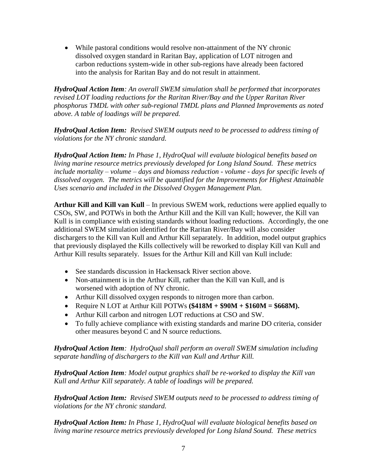While pastoral conditions would resolve non-attainment of the NY chronic dissolved oxygen standard in Raritan Bay, application of LOT nitrogen and carbon reductions system-wide in other sub-regions have already been factored into the analysis for Raritan Bay and do not result in attainment.

*HydroQual Action Item: An overall SWEM simulation shall be performed that incorporates revised LOT loading reductions for the Raritan River/Bay and the Upper Raritan River phosphorus TMDL with other sub-regional TMDL plans and Planned Improvements as noted above. A table of loadings will be prepared.*

*HydroQual Action Item: Revised SWEM outputs need to be processed to address timing of violations for the NY chronic standard.*

*HydroQual Action Item: In Phase 1, HydroQual will evaluate biological benefits based on living marine resource metrics previously developed for Long Island Sound. These metrics include mortality – volume – days and biomass reduction - volume - days for specific levels of dissolved oxygen. The metrics will be quantified for the Improvements for Highest Attainable Uses scenario and included in the Dissolved Oxygen Management Plan.*

**Arthur Kill and Kill van Kull** – In previous SWEM work, reductions were applied equally to CSOs, SW, and POTWs in both the Arthur Kill and the Kill van Kull; however, the Kill van Kull is in compliance with existing standards without loading reductions. Accordingly, the one additional SWEM simulation identified for the Raritan River/Bay will also consider dischargers to the Kill van Kull and Arthur Kill separately. In addition, model output graphics that previously displayed the Kills collectively will be reworked to display Kill van Kull and Arthur Kill results separately. Issues for the Arthur Kill and Kill van Kull include:

- See standards discussion in Hackensack River section above.
- Non-attainment is in the Arthur Kill, rather than the Kill van Kull, and is worsened with adoption of NY chronic.
- Arthur Kill dissolved oxygen responds to nitrogen more than carbon.
- Require N LOT at Arthur Kill POTWs  $(\$418M + \$90M + \$160M = \$668M)$ .
- Arthur Kill carbon and nitrogen LOT reductions at CSO and SW.
- To fully achieve compliance with existing standards and marine DO criteria, consider other measures beyond C and N source reductions.

*HydroQual Action Item: HydroQual shall perform an overall SWEM simulation including separate handling of dischargers to the Kill van Kull and Arthur Kill.*

*HydroQual Action Item: Model output graphics shall be re-worked to display the Kill van Kull and Arthur Kill separately. A table of loadings will be prepared.*

*HydroQual Action Item: Revised SWEM outputs need to be processed to address timing of violations for the NY chronic standard.*

*HydroQual Action Item: In Phase 1, HydroQual will evaluate biological benefits based on living marine resource metrics previously developed for Long Island Sound. These metrics*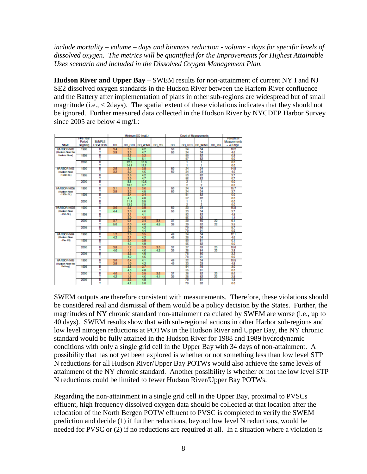*include mortality – volume – days and biomass reduction - volume - days for specific levels of dissolved oxygen. The metrics will be quantified for the Improvements for Highest Attainable Uses scenario and included in the Dissolved Oxygen Management Plan.*

**Hudson River and Upper Bay** – SWEM results for non-attainment of current NY I and NJ SE2 dissolved oxygen standards in the Hudson River between the Harlem River confluence and the Battery after implementation of plans in other sub-regions are widespread but of small magnitude (i.e., < 2days). The spatial extent of these violations indicates that they should not be ignored. Further measured data collected in the Hudson River by NYCDEP Harbor Survey since 2005 are below 4 mg/L:



SWEM outputs are therefore consistent with measurements. Therefore, these violations should be considered real and dismissal of them would be a policy decision by the States. Further, the magnitudes of NY chronic standard non-attainment calculated by SWEM are worse (i.e., up to 40 days). SWEM results show that with sub-regional actions in other Harbor sub-regions and low level nitrogen reductions at POTWs in the Hudson River and Upper Bay, the NY chronic standard would be fully attained in the Hudson River for 1988 and 1989 hydrodynamic conditions with only a single grid cell in the Upper Bay with 34 days of non-attainment. A possibility that has not yet been explored is whether or not something less than low level STP N reductions for all Hudson River/Upper Bay POTWs would also achieve the same levels of attainment of the NY chronic standard. Another possibility is whether or not the low level STP N reductions could be limited to fewer Hudson River/Upper Bay POTWs.

Regarding the non-attainment in a single grid cell in the Upper Bay, proximal to PVSCs effluent, high frequency dissolved oxygen data should be collected at that location after the relocation of the North Bergen POTW effluent to PVSC is completed to verify the SWEM prediction and decide (1) if further reductions, beyond low level N reductions, would be needed for PVSC or (2) if no reductions are required at all. In a situation where a violation is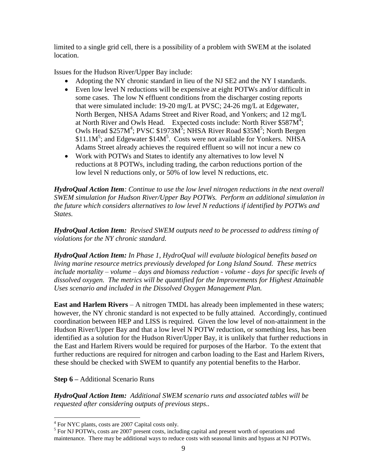limited to a single grid cell, there is a possibility of a problem with SWEM at the isolated location.

Issues for the Hudson River/Upper Bay include:

- Adopting the NY chronic standard in lieu of the NJ SE2 and the NY I standards.
- Even low level N reductions will be expensive at eight POTWs and/or difficult in some cases. The low N effluent conditions from the discharger costing reports that were simulated include: 19-20 mg/L at PVSC; 24-26 mg/L at Edgewater, North Bergen, NHSA Adams Street and River Road, and Yonkers; and 12 mg/L at North River and Owls Head. Expected costs include: North River  $$587M<sup>4</sup>$ ; Owls Head \$257M<sup>4</sup>; PVSC \$1973M<sup>5</sup>; NHSA River Road \$35M<sup>5</sup>; North Bergen  $$11.1M<sup>5</sup>$ ; and Edgewater  $$14M<sup>5</sup>$ . Costs were not available for Yonkers. NHSA Adams Street already achieves the required effluent so will not incur a new co
- Work with POTWs and States to identify any alternatives to low level N reductions at 8 POTWs, including trading, the carbon reductions portion of the low level N reductions only, or 50% of low level N reductions, etc.

*HydroQual Action Item: Continue to use the low level nitrogen reductions in the next overall SWEM simulation for Hudson River/Upper Bay POTWs. Perform an additional simulation in the future which considers alternatives to low level N reductions if identified by POTWs and States.*

*HydroQual Action Item: Revised SWEM outputs need to be processed to address timing of violations for the NY chronic standard.*

*HydroQual Action Item: In Phase 1, HydroQual will evaluate biological benefits based on living marine resource metrics previously developed for Long Island Sound. These metrics include mortality – volume – days and biomass reduction - volume - days for specific levels of dissolved oxygen. The metrics will be quantified for the Improvements for Highest Attainable Uses scenario and included in the Dissolved Oxygen Management Plan.*

**East and Harlem Rivers** – A nitrogen TMDL has already been implemented in these waters; however, the NY chronic standard is not expected to be fully attained. Accordingly, continued coordination between HEP and LISS is required. Given the low level of non-attainment in the Hudson River/Upper Bay and that a low level N POTW reduction, or something less, has been identified as a solution for the Hudson River/Upper Bay, it is unlikely that further reductions in the East and Harlem Rivers would be required for purposes of the Harbor. To the extent that further reductions are required for nitrogen and carbon loading to the East and Harlem Rivers, these should be checked with SWEM to quantify any potential benefits to the Harbor.

**Step 6 –** Additional Scenario Runs

 $\overline{a}$ 

*HydroQual Action Item: Additional SWEM scenario runs and associated tables will be requested after considering outputs of previous steps..*

<sup>&</sup>lt;sup>4</sup> For NYC plants, costs are 2007 Capital costs only.

<sup>&</sup>lt;sup>5</sup> For NJ POTWs, costs are 2007 present costs, including capital and present worth of operations and maintenance. There may be additional ways to reduce costs with seasonal limits and bypass at NJ POTWs.